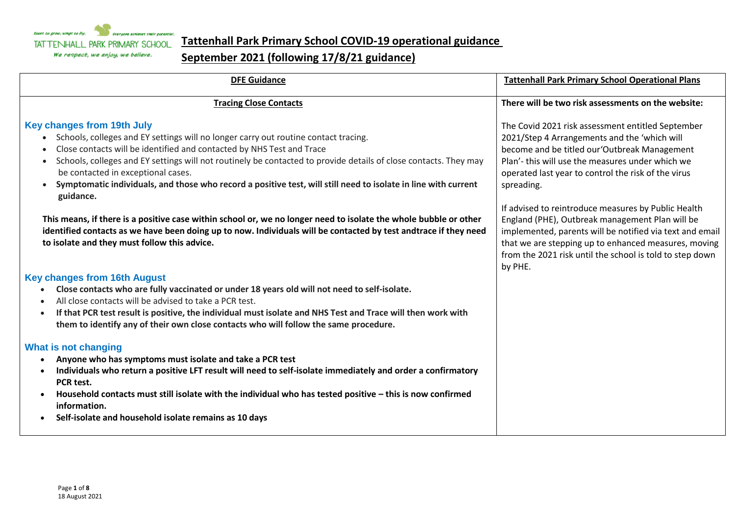

## **Tattenhall Park Primary School COVID-19 operational guidance**

## **September 2021 (following 17/8/21 guidance)**

| <b>DFE Guidance</b>                                                                                                                                                                                                                                                                                                                                                                                                                                                                                       | <b>Tattenhall Park Primary School Operational Plans</b>                                                                                                                                                                                                                                           |
|-----------------------------------------------------------------------------------------------------------------------------------------------------------------------------------------------------------------------------------------------------------------------------------------------------------------------------------------------------------------------------------------------------------------------------------------------------------------------------------------------------------|---------------------------------------------------------------------------------------------------------------------------------------------------------------------------------------------------------------------------------------------------------------------------------------------------|
| <b>Tracing Close Contacts</b>                                                                                                                                                                                                                                                                                                                                                                                                                                                                             | There will be two risk assessments on the website:                                                                                                                                                                                                                                                |
| <b>Key changes from 19th July</b><br>• Schools, colleges and EY settings will no longer carry out routine contact tracing.<br>Close contacts will be identified and contacted by NHS Test and Trace<br>Schools, colleges and EY settings will not routinely be contacted to provide details of close contacts. They may<br>$\bullet$<br>be contacted in exceptional cases.<br>Symptomatic individuals, and those who record a positive test, will still need to isolate in line with current<br>guidance. | The Covid 2021 risk assessment entitled September<br>2021/Step 4 Arrangements and the 'which will<br>become and be titled our 'Outbreak Management<br>Plan'- this will use the measures under which we<br>operated last year to control the risk of the virus<br>spreading.                       |
| This means, if there is a positive case within school or, we no longer need to isolate the whole bubble or other<br>identified contacts as we have been doing up to now. Individuals will be contacted by test andtrace if they need<br>to isolate and they must follow this advice.                                                                                                                                                                                                                      | If advised to reintroduce measures by Public Health<br>England (PHE), Outbreak management Plan will be<br>implemented, parents will be notified via text and email<br>that we are stepping up to enhanced measures, moving<br>from the 2021 risk until the school is told to step down<br>by PHE. |
| <b>Key changes from 16th August</b><br>Close contacts who are fully vaccinated or under 18 years old will not need to self-isolate.<br>All close contacts will be advised to take a PCR test.<br>If that PCR test result is positive, the individual must isolate and NHS Test and Trace will then work with<br>them to identify any of their own close contacts who will follow the same procedure.                                                                                                      |                                                                                                                                                                                                                                                                                                   |
| What is not changing<br>Anyone who has symptoms must isolate and take a PCR test<br>Individuals who return a positive LFT result will need to self-isolate immediately and order a confirmatory<br>PCR test.<br>Household contacts must still isolate with the individual who has tested positive - this is now confirmed<br>information.<br>Self-isolate and household isolate remains as 10 days                                                                                                        |                                                                                                                                                                                                                                                                                                   |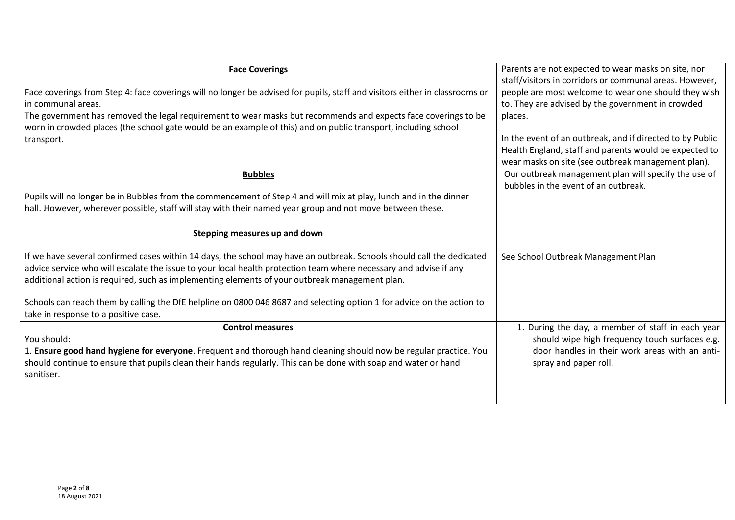| <b>Face Coverings</b>                                                                                                       | Parents are not expected to wear masks on site, nor                                          |
|-----------------------------------------------------------------------------------------------------------------------------|----------------------------------------------------------------------------------------------|
|                                                                                                                             | staff/visitors in corridors or communal areas. However,                                      |
| Face coverings from Step 4: face coverings will no longer be advised for pupils, staff and visitors either in classrooms or | people are most welcome to wear one should they wish                                         |
| in communal areas.                                                                                                          | to. They are advised by the government in crowded                                            |
| The government has removed the legal requirement to wear masks but recommends and expects face coverings to be              | places.                                                                                      |
| worn in crowded places (the school gate would be an example of this) and on public transport, including school              |                                                                                              |
| transport.                                                                                                                  | In the event of an outbreak, and if directed to by Public                                    |
|                                                                                                                             | Health England, staff and parents would be expected to                                       |
|                                                                                                                             | wear masks on site (see outbreak management plan).                                           |
| <b>Bubbles</b>                                                                                                              | Our outbreak management plan will specify the use of<br>bubbles in the event of an outbreak. |
| Pupils will no longer be in Bubbles from the commencement of Step 4 and will mix at play, lunch and in the dinner           |                                                                                              |
| hall. However, wherever possible, staff will stay with their named year group and not move between these.                   |                                                                                              |
|                                                                                                                             |                                                                                              |
| Stepping measures up and down                                                                                               |                                                                                              |
| If we have several confirmed cases within 14 days, the school may have an outbreak. Schools should call the dedicated       | See School Outbreak Management Plan                                                          |
| advice service who will escalate the issue to your local health protection team where necessary and advise if any           |                                                                                              |
| additional action is required, such as implementing elements of your outbreak management plan.                              |                                                                                              |
|                                                                                                                             |                                                                                              |
| Schools can reach them by calling the DfE helpline on 0800 046 8687 and selecting option 1 for advice on the action to      |                                                                                              |
| take in response to a positive case.                                                                                        |                                                                                              |
| <b>Control measures</b>                                                                                                     | 1. During the day, a member of staff in each year                                            |
| You should:                                                                                                                 | should wipe high frequency touch surfaces e.g.                                               |
| 1. Ensure good hand hygiene for everyone. Frequent and thorough hand cleaning should now be regular practice. You           | door handles in their work areas with an anti-                                               |
| should continue to ensure that pupils clean their hands regularly. This can be done with soap and water or hand             | spray and paper roll.                                                                        |
| sanitiser.                                                                                                                  |                                                                                              |
|                                                                                                                             |                                                                                              |
|                                                                                                                             |                                                                                              |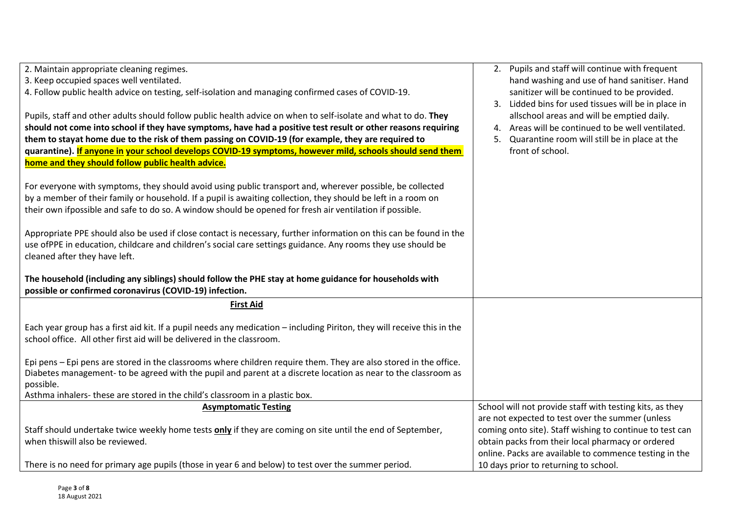| 2. Maintain appropriate cleaning regimes.<br>3. Keep occupied spaces well ventilated.<br>4. Follow public health advice on testing, self-isolation and managing confirmed cases of COVID-19.<br>Pupils, staff and other adults should follow public health advice on when to self-isolate and what to do. They<br>should not come into school if they have symptoms, have had a positive test result or other reasons requiring<br>them to stayat home due to the risk of them passing on COVID-19 (for example, they are required to<br>quarantine). If anyone in your school develops COVID-19 symptoms, however mild, schools should send them<br>home and they should follow public health advice.<br>For everyone with symptoms, they should avoid using public transport and, wherever possible, be collected<br>by a member of their family or household. If a pupil is awaiting collection, they should be left in a room on<br>their own ifpossible and safe to do so. A window should be opened for fresh air ventilation if possible.<br>Appropriate PPE should also be used if close contact is necessary, further information on this can be found in the<br>use ofPPE in education, childcare and children's social care settings guidance. Any rooms they use should be<br>cleaned after they have left. | 2. Pupils and staff will continue with frequent<br>hand washing and use of hand sanitiser. Hand<br>sanitizer will be continued to be provided.<br>3. Lidded bins for used tissues will be in place in<br>allschool areas and will be emptied daily.<br>4. Areas will be continued to be well ventilated.<br>Quarantine room will still be in place at the<br>5.<br>front of school. |
|-------------------------------------------------------------------------------------------------------------------------------------------------------------------------------------------------------------------------------------------------------------------------------------------------------------------------------------------------------------------------------------------------------------------------------------------------------------------------------------------------------------------------------------------------------------------------------------------------------------------------------------------------------------------------------------------------------------------------------------------------------------------------------------------------------------------------------------------------------------------------------------------------------------------------------------------------------------------------------------------------------------------------------------------------------------------------------------------------------------------------------------------------------------------------------------------------------------------------------------------------------------------------------------------------------------------------|-------------------------------------------------------------------------------------------------------------------------------------------------------------------------------------------------------------------------------------------------------------------------------------------------------------------------------------------------------------------------------------|
| The household (including any siblings) should follow the PHE stay at home guidance for households with<br>possible or confirmed coronavirus (COVID-19) infection.                                                                                                                                                                                                                                                                                                                                                                                                                                                                                                                                                                                                                                                                                                                                                                                                                                                                                                                                                                                                                                                                                                                                                       |                                                                                                                                                                                                                                                                                                                                                                                     |
| <b>First Aid</b>                                                                                                                                                                                                                                                                                                                                                                                                                                                                                                                                                                                                                                                                                                                                                                                                                                                                                                                                                                                                                                                                                                                                                                                                                                                                                                        |                                                                                                                                                                                                                                                                                                                                                                                     |
| Each year group has a first aid kit. If a pupil needs any medication - including Piriton, they will receive this in the<br>school office. All other first aid will be delivered in the classroom.                                                                                                                                                                                                                                                                                                                                                                                                                                                                                                                                                                                                                                                                                                                                                                                                                                                                                                                                                                                                                                                                                                                       |                                                                                                                                                                                                                                                                                                                                                                                     |
| Epi pens – Epi pens are stored in the classrooms where children require them. They are also stored in the office.<br>Diabetes management- to be agreed with the pupil and parent at a discrete location as near to the classroom as<br>possible.<br>Asthma inhalers-these are stored in the child's classroom in a plastic box.                                                                                                                                                                                                                                                                                                                                                                                                                                                                                                                                                                                                                                                                                                                                                                                                                                                                                                                                                                                         |                                                                                                                                                                                                                                                                                                                                                                                     |
| <b>Asymptomatic Testing</b>                                                                                                                                                                                                                                                                                                                                                                                                                                                                                                                                                                                                                                                                                                                                                                                                                                                                                                                                                                                                                                                                                                                                                                                                                                                                                             | School will not provide staff with testing kits, as they                                                                                                                                                                                                                                                                                                                            |
| Staff should undertake twice weekly home tests only if they are coming on site until the end of September,<br>when thiswill also be reviewed.                                                                                                                                                                                                                                                                                                                                                                                                                                                                                                                                                                                                                                                                                                                                                                                                                                                                                                                                                                                                                                                                                                                                                                           | are not expected to test over the summer (unless<br>coming onto site). Staff wishing to continue to test can<br>obtain packs from their local pharmacy or ordered<br>online. Packs are available to commence testing in the                                                                                                                                                         |
| There is no need for primary age pupils (those in year 6 and below) to test over the summer period.                                                                                                                                                                                                                                                                                                                                                                                                                                                                                                                                                                                                                                                                                                                                                                                                                                                                                                                                                                                                                                                                                                                                                                                                                     | 10 days prior to returning to school.                                                                                                                                                                                                                                                                                                                                               |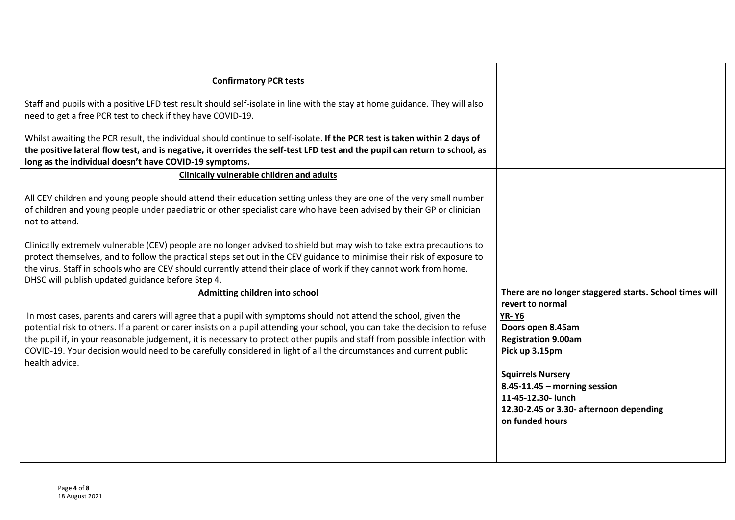| <b>Confirmatory PCR tests</b>                                                                                                                                                                                                                                                                                                                                                                                                |                                                               |
|------------------------------------------------------------------------------------------------------------------------------------------------------------------------------------------------------------------------------------------------------------------------------------------------------------------------------------------------------------------------------------------------------------------------------|---------------------------------------------------------------|
| Staff and pupils with a positive LFD test result should self-isolate in line with the stay at home guidance. They will also<br>need to get a free PCR test to check if they have COVID-19.                                                                                                                                                                                                                                   |                                                               |
| Whilst awaiting the PCR result, the individual should continue to self-isolate. If the PCR test is taken within 2 days of<br>the positive lateral flow test, and is negative, it overrides the self-test LFD test and the pupil can return to school, as<br>long as the individual doesn't have COVID-19 symptoms.                                                                                                           |                                                               |
| <b>Clinically vulnerable children and adults</b>                                                                                                                                                                                                                                                                                                                                                                             |                                                               |
| All CEV children and young people should attend their education setting unless they are one of the very small number<br>of children and young people under paediatric or other specialist care who have been advised by their GP or clinician<br>not to attend.                                                                                                                                                              |                                                               |
| Clinically extremely vulnerable (CEV) people are no longer advised to shield but may wish to take extra precautions to<br>protect themselves, and to follow the practical steps set out in the CEV guidance to minimise their risk of exposure to<br>the virus. Staff in schools who are CEV should currently attend their place of work if they cannot work from home.<br>DHSC will publish updated guidance before Step 4. |                                                               |
| Admitting children into school                                                                                                                                                                                                                                                                                                                                                                                               | There are no longer staggered starts. School times will       |
| In most cases, parents and carers will agree that a pupil with symptoms should not attend the school, given the                                                                                                                                                                                                                                                                                                              | revert to normal<br><b>YR-Y6</b>                              |
| potential risk to others. If a parent or carer insists on a pupil attending your school, you can take the decision to refuse                                                                                                                                                                                                                                                                                                 | Doors open 8.45am                                             |
| the pupil if, in your reasonable judgement, it is necessary to protect other pupils and staff from possible infection with<br>COVID-19. Your decision would need to be carefully considered in light of all the circumstances and current public                                                                                                                                                                             | <b>Registration 9.00am</b><br>Pick up 3.15pm                  |
| health advice.                                                                                                                                                                                                                                                                                                                                                                                                               | <b>Squirrels Nursery</b>                                      |
|                                                                                                                                                                                                                                                                                                                                                                                                                              | $8.45 - 11.45$ – morning session                              |
|                                                                                                                                                                                                                                                                                                                                                                                                                              | 11-45-12.30- lunch<br>12.30-2.45 or 3.30- afternoon depending |
|                                                                                                                                                                                                                                                                                                                                                                                                                              | on funded hours                                               |
|                                                                                                                                                                                                                                                                                                                                                                                                                              |                                                               |
|                                                                                                                                                                                                                                                                                                                                                                                                                              |                                                               |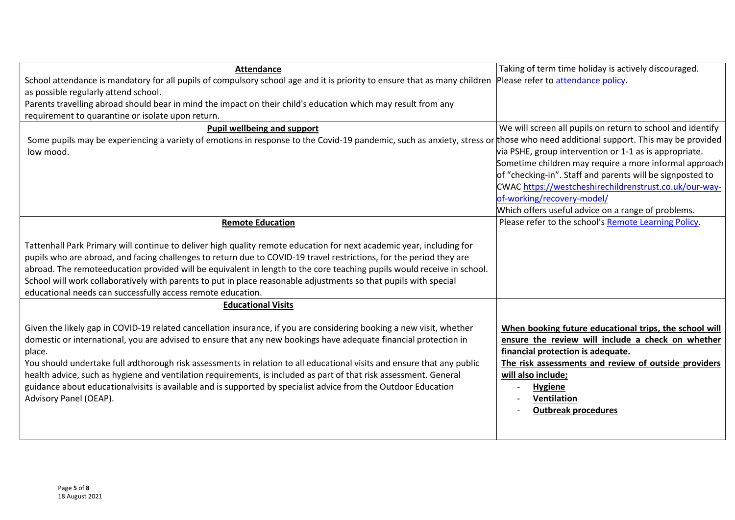| <b>Attendance</b>                                                                                                                                                                                                                                                                                                                                                                                                                                                                                                                                                                                                                             | Taking of term time holiday is actively discouraged.                                                                                                                                                                                                                                          |
|-----------------------------------------------------------------------------------------------------------------------------------------------------------------------------------------------------------------------------------------------------------------------------------------------------------------------------------------------------------------------------------------------------------------------------------------------------------------------------------------------------------------------------------------------------------------------------------------------------------------------------------------------|-----------------------------------------------------------------------------------------------------------------------------------------------------------------------------------------------------------------------------------------------------------------------------------------------|
| School attendance is mandatory for all pupils of compulsory school age and it is priority to ensure that as many children Please refer to attendance policy.                                                                                                                                                                                                                                                                                                                                                                                                                                                                                  |                                                                                                                                                                                                                                                                                               |
| as possible regularly attend school.                                                                                                                                                                                                                                                                                                                                                                                                                                                                                                                                                                                                          |                                                                                                                                                                                                                                                                                               |
| Parents travelling abroad should bear in mind the impact on their child's education which may result from any                                                                                                                                                                                                                                                                                                                                                                                                                                                                                                                                 |                                                                                                                                                                                                                                                                                               |
| requirement to quarantine or isolate upon return.                                                                                                                                                                                                                                                                                                                                                                                                                                                                                                                                                                                             |                                                                                                                                                                                                                                                                                               |
| Pupil wellbeing and support                                                                                                                                                                                                                                                                                                                                                                                                                                                                                                                                                                                                                   | We will screen all pupils on return to school and identify                                                                                                                                                                                                                                    |
| Some pupils may be experiencing a variety of emotions in response to the Covid-19 pandemic, such as anxiety, stress or those who need additional support. This may be provided                                                                                                                                                                                                                                                                                                                                                                                                                                                                |                                                                                                                                                                                                                                                                                               |
| low mood.                                                                                                                                                                                                                                                                                                                                                                                                                                                                                                                                                                                                                                     | via PSHE, group intervention or 1-1 as is appropriate.                                                                                                                                                                                                                                        |
|                                                                                                                                                                                                                                                                                                                                                                                                                                                                                                                                                                                                                                               | Sometime children may require a more informal approach                                                                                                                                                                                                                                        |
|                                                                                                                                                                                                                                                                                                                                                                                                                                                                                                                                                                                                                                               | of "checking-in". Staff and parents will be signposted to                                                                                                                                                                                                                                     |
|                                                                                                                                                                                                                                                                                                                                                                                                                                                                                                                                                                                                                                               | CWAC https://westcheshirechildrenstrust.co.uk/our-way-<br>of-working/recovery-model/                                                                                                                                                                                                          |
|                                                                                                                                                                                                                                                                                                                                                                                                                                                                                                                                                                                                                                               | Which offers useful advice on a range of problems.                                                                                                                                                                                                                                            |
| <b>Remote Education</b>                                                                                                                                                                                                                                                                                                                                                                                                                                                                                                                                                                                                                       | Please refer to the school's Remote Learning Policy.                                                                                                                                                                                                                                          |
|                                                                                                                                                                                                                                                                                                                                                                                                                                                                                                                                                                                                                                               |                                                                                                                                                                                                                                                                                               |
| Tattenhall Park Primary will continue to deliver high quality remote education for next academic year, including for<br>pupils who are abroad, and facing challenges to return due to COVID-19 travel restrictions, for the period they are<br>abroad. The remoteeducation provided will be equivalent in length to the core teaching pupils would receive in school.<br>School will work collaboratively with parents to put in place reasonable adjustments so that pupils with special<br>educational needs can successfully access remote education.                                                                                      |                                                                                                                                                                                                                                                                                               |
| <b>Educational Visits</b>                                                                                                                                                                                                                                                                                                                                                                                                                                                                                                                                                                                                                     |                                                                                                                                                                                                                                                                                               |
| Given the likely gap in COVID-19 related cancellation insurance, if you are considering booking a new visit, whether<br>domestic or international, you are advised to ensure that any new bookings have adequate financial protection in<br>place.<br>You should undertake full adthorough risk assessments in relation to all educational visits and ensure that any public<br>health advice, such as hygiene and ventilation requirements, is included as part of that risk assessment. General<br>guidance about educationalvisits is available and is supported by specialist advice from the Outdoor Education<br>Advisory Panel (OEAP). | When booking future educational trips, the school will<br>ensure the review will include a check on whether<br>financial protection is adequate.<br>The risk assessments and review of outside providers<br>will also include;<br><b>Hygiene</b><br>Ventilation<br><b>Outbreak procedures</b> |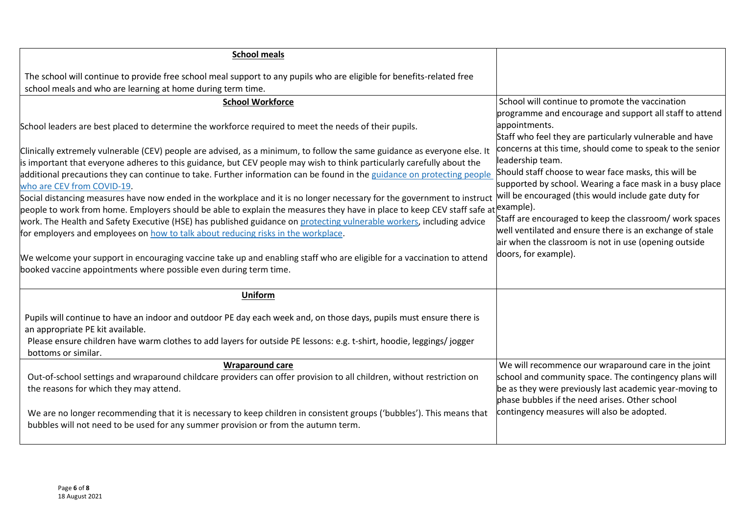| <b>School meals</b>                                                                                                                                                                                                                                                                                                                                                                                                                                                                                              |                                                                                                                                                                                                                                                                               |
|------------------------------------------------------------------------------------------------------------------------------------------------------------------------------------------------------------------------------------------------------------------------------------------------------------------------------------------------------------------------------------------------------------------------------------------------------------------------------------------------------------------|-------------------------------------------------------------------------------------------------------------------------------------------------------------------------------------------------------------------------------------------------------------------------------|
| The school will continue to provide free school meal support to any pupils who are eligible for benefits-related free<br>school meals and who are learning at home during term time.                                                                                                                                                                                                                                                                                                                             |                                                                                                                                                                                                                                                                               |
| <b>School Workforce</b>                                                                                                                                                                                                                                                                                                                                                                                                                                                                                          | School will continue to promote the vaccination                                                                                                                                                                                                                               |
| School leaders are best placed to determine the workforce required to meet the needs of their pupils.<br>Clinically extremely vulnerable (CEV) people are advised, as a minimum, to follow the same guidance as everyone else. It<br>is important that everyone adheres to this guidance, but CEV people may wish to think particularly carefully about the<br>additional precautions they can continue to take. Further information can be found in the guidance on protecting people                           | programme and encourage and support all staff to attend<br>appointments.<br>Staff who feel they are particularly vulnerable and have<br>concerns at this time, should come to speak to the senior<br>leadership team.<br>Should staff choose to wear face masks, this will be |
| who are CEV from COVID-19.<br>Social distancing measures have now ended in the workplace and it is no longer necessary for the government to instruct<br>people to work from home. Employers should be able to explain the measures they have in place to keep CEV staff safe at <i>example</i> ).<br>work. The Health and Safety Executive (HSE) has published guidance on protecting vulnerable workers, including advice<br>for employers and employees on how to talk about reducing risks in the workplace. | supported by school. Wearing a face mask in a busy place<br>will be encouraged (this would include gate duty for<br>Staff are encouraged to keep the classroom/ work spaces<br>well ventilated and ensure there is an exchange of stale                                       |
| We welcome your support in encouraging vaccine take up and enabling staff who are eligible for a vaccination to attend<br>booked vaccine appointments where possible even during term time.                                                                                                                                                                                                                                                                                                                      | air when the classroom is not in use (opening outside<br>doors, for example).                                                                                                                                                                                                 |
| <b>Uniform</b>                                                                                                                                                                                                                                                                                                                                                                                                                                                                                                   |                                                                                                                                                                                                                                                                               |
| Pupils will continue to have an indoor and outdoor PE day each week and, on those days, pupils must ensure there is<br>an appropriate PE kit available.<br>Please ensure children have warm clothes to add layers for outside PE lessons: e.g. t-shirt, hoodie, leggings/jogger<br>bottoms or similar.                                                                                                                                                                                                           |                                                                                                                                                                                                                                                                               |
| <b>Wraparound care</b>                                                                                                                                                                                                                                                                                                                                                                                                                                                                                           | We will recommence our wraparound care in the joint                                                                                                                                                                                                                           |
| Out-of-school settings and wraparound childcare providers can offer provision to all children, without restriction on<br>the reasons for which they may attend.                                                                                                                                                                                                                                                                                                                                                  | school and community space. The contingency plans will<br>be as they were previously last academic year-moving to<br>phase bubbles if the need arises. Other school                                                                                                           |
| We are no longer recommending that it is necessary to keep children in consistent groups ('bubbles'). This means that<br>bubbles will not need to be used for any summer provision or from the autumn term.                                                                                                                                                                                                                                                                                                      | contingency measures will also be adopted.                                                                                                                                                                                                                                    |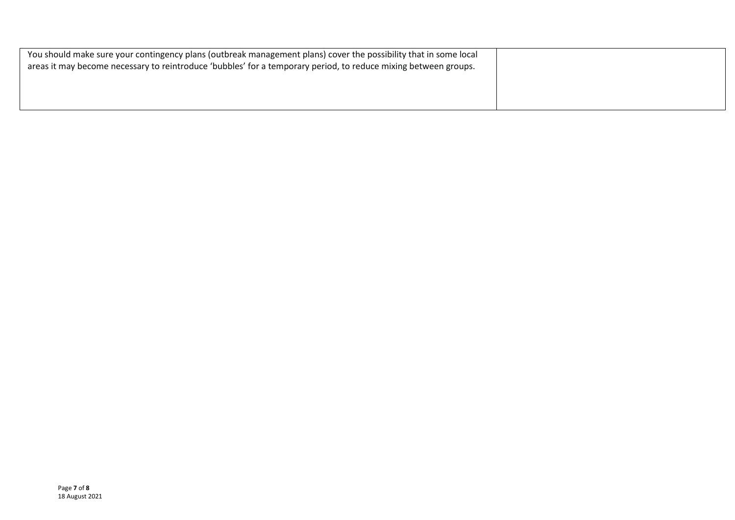| You should make sure your contingency plans (outbreak management plans) cover the possibility that in some local<br>areas it may become necessary to reintroduce 'bubbles' for a temporary period, to reduce mixing between groups. |  |
|-------------------------------------------------------------------------------------------------------------------------------------------------------------------------------------------------------------------------------------|--|
|                                                                                                                                                                                                                                     |  |